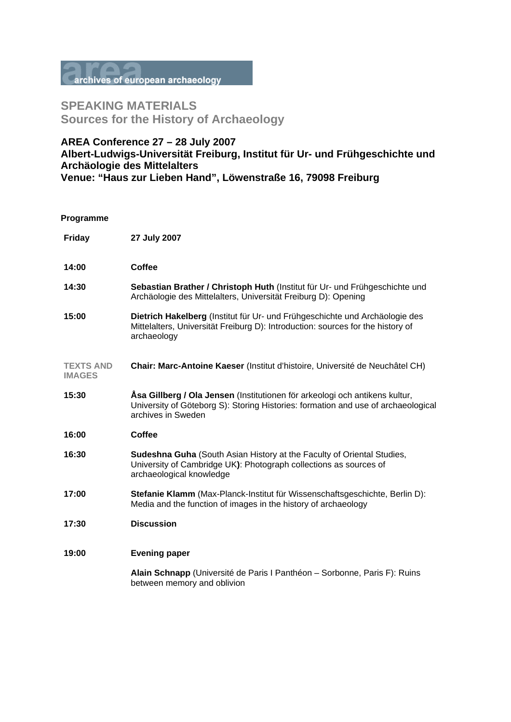

## **SPEAKING MATERIALS Sources for the History of Archaeology**

## **AREA Conference 27 – 28 July 2007 Albert-Ludwigs-Universität Freiburg, Institut für Ur- und Frühgeschichte und Archäologie des Mittelalters Venue: "Haus zur Lieben Hand", Löwenstraße 16, 79098 Freiburg**

## **Programme**

| <b>Friday</b>                     | 27 July 2007                                                                                                                                                                           |
|-----------------------------------|----------------------------------------------------------------------------------------------------------------------------------------------------------------------------------------|
| 14:00                             | <b>Coffee</b>                                                                                                                                                                          |
| 14:30                             | Sebastian Brather / Christoph Huth (Institut für Ur- und Frühgeschichte und<br>Archäologie des Mittelalters, Universität Freiburg D): Opening                                          |
| 15:00                             | Dietrich Hakelberg (Institut für Ur- und Frühgeschichte und Archäologie des<br>Mittelalters, Universität Freiburg D): Introduction: sources for the history of<br>archaeology          |
| <b>TEXTS AND</b><br><b>IMAGES</b> | Chair: Marc-Antoine Kaeser (Institut d'histoire, Université de Neuchâtel CH)                                                                                                           |
| 15:30                             | Åsa Gillberg / Ola Jensen (Institutionen för arkeologi och antikens kultur,<br>University of Göteborg S): Storing Histories: formation and use of archaeological<br>archives in Sweden |
| 16:00                             | Coffee                                                                                                                                                                                 |
| 16:30                             | <b>Sudeshna Guha</b> (South Asian History at the Faculty of Oriental Studies,<br>University of Cambridge UK): Photograph collections as sources of<br>archaeological knowledge         |
| 17:00                             | Stefanie Klamm (Max-Planck-Institut für Wissenschaftsgeschichte, Berlin D):<br>Media and the function of images in the history of archaeology                                          |
| 17:30                             | <b>Discussion</b>                                                                                                                                                                      |
| 19:00                             | <b>Evening paper</b>                                                                                                                                                                   |
|                                   | Alain Schnapp (Université de Paris I Panthéon – Sorbonne, Paris F): Ruins<br>between memory and oblivion                                                                               |